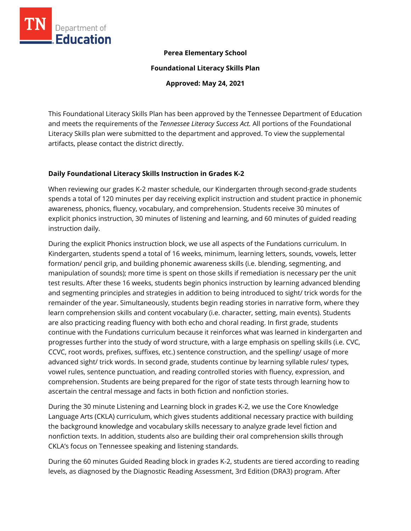

## **Perea Elementary School**

**Foundational Literacy Skills Plan**

**Approved: May 24, 2021**

This Foundational Literacy Skills Plan has been approved by the Tennessee Department of Education and meets the requirements of the *Tennessee Literacy Success Act.* All portions of the Foundational Literacy Skills plan were submitted to the department and approved. To view the supplemental artifacts, please contact the district directly.

## **Daily Foundational Literacy Skills Instruction in Grades K-2**

When reviewing our grades K-2 master schedule, our Kindergarten through second-grade students spends a total of 120 minutes per day receiving explicit instruction and student practice in phonemic awareness, phonics, fluency, vocabulary, and comprehension. Students receive 30 minutes of explicit phonics instruction, 30 minutes of listening and learning, and 60 minutes of guided reading instruction daily.

During the explicit Phonics instruction block, we use all aspects of the Fundations curriculum. In Kindergarten, students spend a total of 16 weeks, minimum, learning letters, sounds, vowels, letter formation/ pencil grip, and building phonemic awareness skills (i.e. blending, segmenting, and manipulation of sounds); more time is spent on those skills if remediation is necessary per the unit test results. After these 16 weeks, students begin phonics instruction by learning advanced blending and segmenting principles and strategies in addition to being introduced to sight/ trick words for the remainder of the year. Simultaneously, students begin reading stories in narrative form, where they learn comprehension skills and content vocabulary (i.e. character, setting, main events). Students are also practicing reading fluency with both echo and choral reading. In first grade, students continue with the Fundations curriculum because it reinforces what was learned in kindergarten and progresses further into the study of word structure, with a large emphasis on spelling skills (i.e. CVC, CCVC, root words, prefixes, suffixes, etc.) sentence construction, and the spelling/ usage of more advanced sight/ trick words. In second grade, students continue by learning syllable rules/ types, vowel rules, sentence punctuation, and reading controlled stories with fluency, expression, and comprehension. Students are being prepared for the rigor of state tests through learning how to ascertain the central message and facts in both fiction and nonfiction stories.

During the 30 minute Listening and Learning block in grades K-2, we use the Core Knowledge Language Arts (CKLA) curriculum, which gives students additional necessary practice with building the background knowledge and vocabulary skills necessary to analyze grade level fiction and nonfiction texts. In addition, students also are building their oral comprehension skills through CKLA's focus on Tennessee speaking and listening standards.

During the 60 minutes Guided Reading block in grades K-2, students are tiered according to reading levels, as diagnosed by the Diagnostic Reading Assessment, 3rd Edition (DRA3) program. After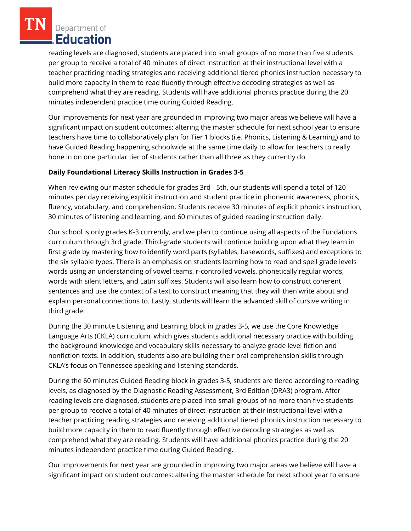reading levels are diagnosed, students are placed into small groups of no more than five students per group to receive a total of 40 minutes of direct instruction at their instructional level with a teacher practicing reading strategies and receiving additional tiered phonics instruction necessary to build more capacity in them to read fluently through effective decoding strategies as well as comprehend what they are reading. Students will have additional phonics practice during the 20 minutes independent practice time during Guided Reading.

Our improvements for next year are grounded in improving two major areas we believe will have a significant impact on student outcomes: altering the master schedule for next school year to ensure teachers have time to collaboratively plan for Tier 1 blocks (i.e. Phonics, Listening & Learning) and to have Guided Reading happening schoolwide at the same time daily to allow for teachers to really hone in on one particular tier of students rather than all three as they currently do

## **Daily Foundational Literacy Skills Instruction in Grades 3-5**

When reviewing our master schedule for grades 3rd - 5th, our students will spend a total of 120 minutes per day receiving explicit instruction and student practice in phonemic awareness, phonics, fluency, vocabulary, and comprehension. Students receive 30 minutes of explicit phonics instruction, 30 minutes of listening and learning, and 60 minutes of guided reading instruction daily.

Our school is only grades K-3 currently, and we plan to continue using all aspects of the Fundations curriculum through 3rd grade. Third-grade students will continue building upon what they learn in first grade by mastering how to identify word parts (syllables, basewords, suffixes) and exceptions to the six syllable types. There is an emphasis on students learning how to read and spell grade levels words using an understanding of vowel teams, r-controlled vowels, phonetically regular words, words with silent letters, and Latin suffixes. Students will also learn how to construct coherent sentences and use the context of a text to construct meaning that they will then write about and explain personal connections to. Lastly, students will learn the advanced skill of cursive writing in third grade.

During the 30 minute Listening and Learning block in grades 3-5, we use the Core Knowledge Language Arts (CKLA) curriculum, which gives students additional necessary practice with building the background knowledge and vocabulary skills necessary to analyze grade level fiction and nonfiction texts. In addition, students also are building their oral comprehension skills through CKLA's focus on Tennessee speaking and listening standards.

During the 60 minutes Guided Reading block in grades 3-5, students are tiered according to reading levels, as diagnosed by the Diagnostic Reading Assessment, 3rd Edition (DRA3) program. After reading levels are diagnosed, students are placed into small groups of no more than five students per group to receive a total of 40 minutes of direct instruction at their instructional level with a teacher practicing reading strategies and receiving additional tiered phonics instruction necessary to build more capacity in them to read fluently through effective decoding strategies as well as comprehend what they are reading. Students will have additional phonics practice during the 20 minutes independent practice time during Guided Reading.

Our improvements for next year are grounded in improving two major areas we believe will have a significant impact on student outcomes: altering the master schedule for next school year to ensure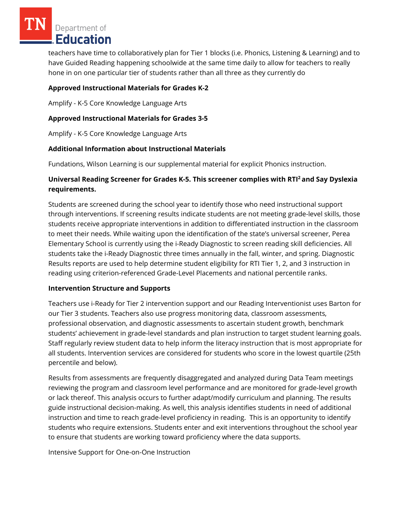teachers have time to collaboratively plan for Tier 1 blocks (i.e. Phonics, Listening & Learning) and to have Guided Reading happening schoolwide at the same time daily to allow for teachers to really hone in on one particular tier of students rather than all three as they currently do

## **Approved Instructional Materials for Grades K-2**

Amplify - K-5 Core Knowledge Language Arts

## **Approved Instructional Materials for Grades 3-5**

Amplify - K-5 Core Knowledge Language Arts

## **Additional Information about Instructional Materials**

Fundations, Wilson Learning is our supplemental material for explicit Phonics instruction.

## **Universal Reading Screener for Grades K-5. This screener complies with RTI<sup>2</sup>and Say Dyslexia requirements.**

Students are screened during the school year to identify those who need instructional support through interventions. If screening results indicate students are not meeting grade-level skills, those students receive appropriate interventions in addition to differentiated instruction in the classroom to meet their needs. While waiting upon the identification of the state's universal screener, Perea Elementary School is currently using the i-Ready Diagnostic to screen reading skill deficiencies. All students take the i-Ready Diagnostic three times annually in the fall, winter, and spring. Diagnostic Results reports are used to help determine student eligibility for RTI Tier 1, 2, and 3 instruction in reading using criterion-referenced Grade-Level Placements and national percentile ranks.

## **Intervention Structure and Supports**

Teachers use i-Ready for Tier 2 intervention support and our Reading Interventionist uses Barton for our Tier 3 students. Teachers also use progress monitoring data, classroom assessments, professional observation, and diagnostic assessments to ascertain student growth, benchmark students' achievement in grade-level standards and plan instruction to target student learning goals. Staff regularly review student data to help inform the literacy instruction that is most appropriate for all students. Intervention services are considered for students who score in the lowest quartile (25th percentile and below).

Results from assessments are frequently disaggregated and analyzed during Data Team meetings reviewing the program and classroom level performance and are monitored for grade-level growth or lack thereof. This analysis occurs to further adapt/modify curriculum and planning. The results guide instructional decision-making. As well, this analysis identifies students in need of additional instruction and time to reach grade-level proficiency in reading. This is an opportunity to identify students who require extensions. Students enter and exit interventions throughout the school year to ensure that students are working toward proficiency where the data supports.

Intensive Support for One-on-One Instruction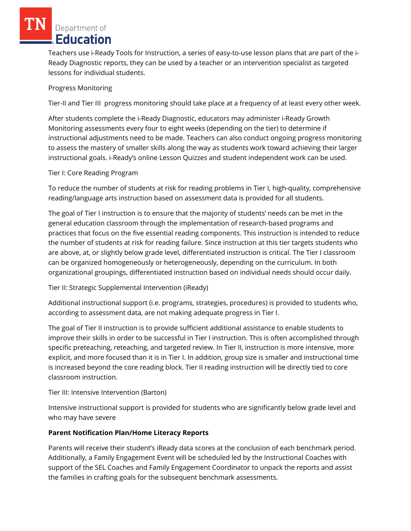Teachers use i-Ready Tools for Instruction, a series of easy-to-use lesson plans that are part of the i-Ready Diagnostic reports, they can be used by a teacher or an intervention specialist as targeted lessons for individual students.

# Progress Monitoring

Tier-II and Tier III progress monitoring should take place at a frequency of at least every other week.

After students complete the i-Ready Diagnostic, educators may administer i-Ready Growth Monitoring assessments every four to eight weeks (depending on the tier) to determine if instructional adjustments need to be made. Teachers can also conduct ongoing progress monitoring to assess the mastery of smaller skills along the way as students work toward achieving their larger instructional goals. i-Ready's online Lesson Quizzes and student independent work can be used.

# Tier I: Core Reading Program

To reduce the number of students at risk for reading problems in Tier I, high-quality, comprehensive reading/language arts instruction based on assessment data is provided for all students.

The goal of Tier I instruction is to ensure that the majority of students' needs can be met in the general education classroom through the implementation of research-based programs and practices that focus on the five essential reading components. This instruction is intended to reduce the number of students at risk for reading failure. Since instruction at this tier targets students who are above, at, or slightly below grade level, differentiated instruction is critical. The Tier I classroom can be organized homogeneously or heterogeneously, depending on the curriculum. In both organizational groupings, differentiated instruction based on individual needs should occur daily.

Tier II: Strategic Supplemental Intervention (iReady)

Additional instructional support (i.e. programs, strategies, procedures) is provided to students who, according to assessment data, are not making adequate progress in Tier I.

The goal of Tier II instruction is to provide sufficient additional assistance to enable students to improve their skills in order to be successful in Tier I instruction. This is often accomplished through specific preteaching, reteaching, and targeted review. In Tier II, instruction is more intensive, more explicit, and more focused than it is in Tier I. In addition, group size is smaller and instructional time is increased beyond the core reading block. Tier II reading instruction will be directly tied to core classroom instruction.

# Tier III: Intensive Intervention (Barton)

Intensive instructional support is provided for students who are significantly below grade level and who may have severe

# **Parent Notification Plan/Home Literacy Reports**

Parents will receive their student's iReady data scores at the conclusion of each benchmark period. Additionally, a Family Engagement Event will be scheduled led by the Instructional Coaches with support of the SEL Coaches and Family Engagement Coordinator to unpack the reports and assist the families in crafting goals for the subsequent benchmark assessments.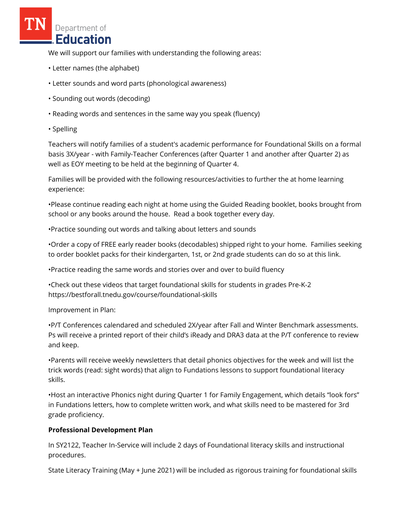We will support our families with understanding the following areas:

- Letter names (the alphabet)
- Letter sounds and word parts (phonological awareness)
- Sounding out words (decoding)
- Reading words and sentences in the same way you speak (fluency)
- Spelling

Teachers will notify families of a student's academic performance for Foundational Skills on a formal basis 3X/year - with Family-Teacher Conferences (after Quarter 1 and another after Quarter 2) as well as EOY meeting to be held at the beginning of Quarter 4.

Families will be provided with the following resources/activities to further the at home learning experience:

•Please continue reading each night at home using the Guided Reading booklet, books brought from school or any books around the house. Read a book together every day.

•Practice sounding out words and talking about letters and sounds

•Order a copy of FREE early reader books (decodables) shipped right to your home. Families seeking to order booklet packs for their kindergarten, 1st, or 2nd grade students can do so at this link.

•Practice reading the same words and stories over and over to build fluency

•Check out these videos that target foundational skills for students in grades Pre-K-2 https://bestforall.tnedu.gov/course/foundational-skills

Improvement in Plan:

•P/T Conferences calendared and scheduled 2X/year after Fall and Winter Benchmark assessments. Ps will receive a printed report of their child's iReady and DRA3 data at the P/T conference to review and keep.

•Parents will receive weekly newsletters that detail phonics objectives for the week and will list the trick words (read: sight words) that align to Fundations lessons to support foundational literacy skills.

•Host an interactive Phonics night during Quarter 1 for Family Engagement, which details "look fors" in Fundations letters, how to complete written work, and what skills need to be mastered for 3rd grade proficiency.

## **Professional Development Plan**

In SY2122, Teacher In-Service will include 2 days of Foundational literacy skills and instructional procedures.

State Literacy Training (May + June 2021) will be included as rigorous training for foundational skills